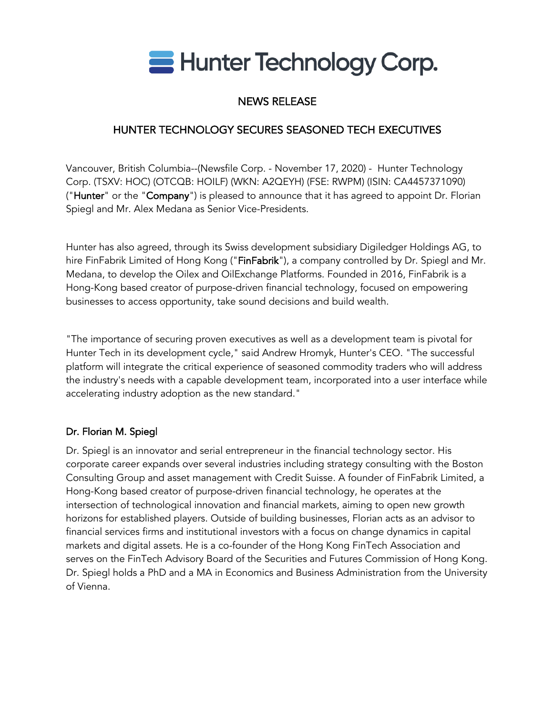

# NEWS RELEASE

# HUNTER TECHNOLOGY SECURES SEASONED TECH EXECUTIVES

Vancouver, British Columbia--(Newsfile Corp. - November 17, 2020) - Hunter Technology Corp. (TSXV: HOC) (OTCQB: HOILF) (WKN: A2QEYH) (FSE: RWPM) (ISIN: CA4457371090) ("Hunter" or the "Company") is pleased to announce that it has agreed to appoint Dr. Florian Spiegl and Mr. Alex Medana as Senior Vice-Presidents.

Hunter has also agreed, through its Swiss development subsidiary Digiledger Holdings AG, to hire FinFabrik Limited of Hong Kong ("FinFabrik"), a company controlled by Dr. Spiegl and Mr. Medana, to develop the Oilex and OilExchange Platforms. Founded in 2016, FinFabrik is a Hong-Kong based creator of purpose-driven financial technology, focused on empowering businesses to access opportunity, take sound decisions and build wealth.

"The importance of securing proven executives as well as a development team is pivotal for Hunter Tech in its development cycle," said Andrew Hromyk, Hunter's CEO. "The successful platform will integrate the critical experience of seasoned commodity traders who will address the industry's needs with a capable development team, incorporated into a user interface while accelerating industry adoption as the new standard."

## Dr. Florian M. Spiegl

Dr. Spiegl is an innovator and serial entrepreneur in the financial technology sector. His corporate career expands over several industries including strategy consulting with the Boston Consulting Group and asset management with Credit Suisse. A founder of FinFabrik Limited, a Hong-Kong based creator of purpose-driven financial technology, he operates at the intersection of technological innovation and financial markets, aiming to open new growth horizons for established players. Outside of building businesses, Florian acts as an advisor to financial services firms and institutional investors with a focus on change dynamics in capital markets and digital assets. He is a co-founder of the Hong Kong FinTech Association and serves on the FinTech Advisory Board of the Securities and Futures Commission of Hong Kong. Dr. Spiegl holds a PhD and a MA in Economics and Business Administration from the University of Vienna.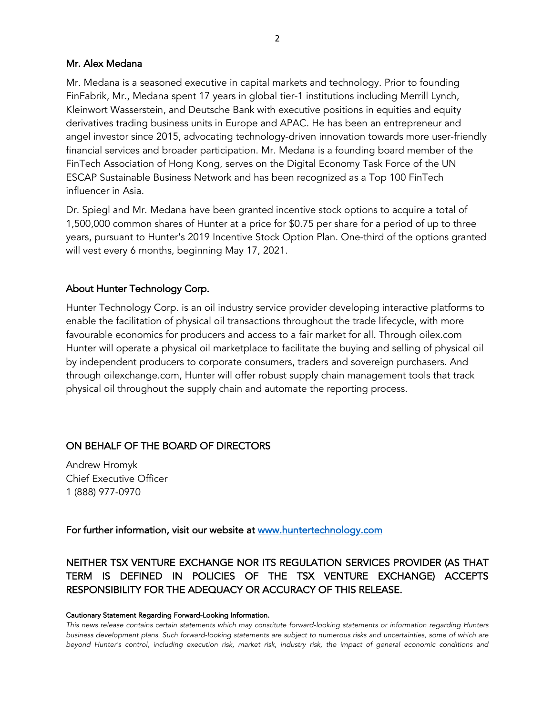#### Mr. Alex Medana

Mr. Medana is a seasoned executive in capital markets and technology. Prior to founding FinFabrik, Mr., Medana spent 17 years in global tier-1 institutions including Merrill Lynch, Kleinwort Wasserstein, and Deutsche Bank with executive positions in equities and equity derivatives trading business units in Europe and APAC. He has been an entrepreneur and angel investor since 2015, advocating technology-driven innovation towards more user-friendly financial services and broader participation. Mr. Medana is a founding board member of the FinTech Association of Hong Kong, serves on the Digital Economy Task Force of the UN ESCAP Sustainable Business Network and has been recognized as a Top 100 FinTech influencer in Asia.

Dr. Spiegl and Mr. Medana have been granted incentive stock options to acquire a total of 1,500,000 common shares of Hunter at a price for \$0.75 per share for a period of up to three years, pursuant to Hunter's 2019 Incentive Stock Option Plan. One-third of the options granted will vest every 6 months, beginning May 17, 2021.

#### About Hunter Technology Corp.

Hunter Technology Corp. is an oil industry service provider developing interactive platforms to enable the facilitation of physical oil transactions throughout the trade lifecycle, with more favourable economics for producers and access to a fair market for all. Through oilex.com Hunter will operate a physical oil marketplace to facilitate the buying and selling of physical oil by independent producers to corporate consumers, traders and sovereign purchasers. And through oilexchange.com, Hunter will offer robust supply chain management tools that track physical oil throughout the supply chain and automate the reporting process.

### ON BEHALF OF THE BOARD OF DIRECTORS

Andrew Hromyk Chief Executive Officer 1 (888) 977-0970

#### For further information, visit our website at www.huntertechnology.com

## NEITHER TSX VENTURE EXCHANGE NOR ITS REGULATION SERVICES PROVIDER (AS THAT TERM IS DEFINED IN POLICIES OF THE TSX VENTURE EXCHANGE) ACCEPTS RESPONSIBILITY FOR THE ADEQUACY OR ACCURACY OF THIS RELEASE.

#### Cautionary Statement Regarding Forward-Looking Information.

*This news release contains certain statements which may constitute forward-looking statements or information regarding Hunters business development plans. Such forward-looking statements are subject to numerous risks and uncertainties, some of which are beyond Hunter's control, including execution risk, market risk, industry risk, the impact of general economic conditions and*